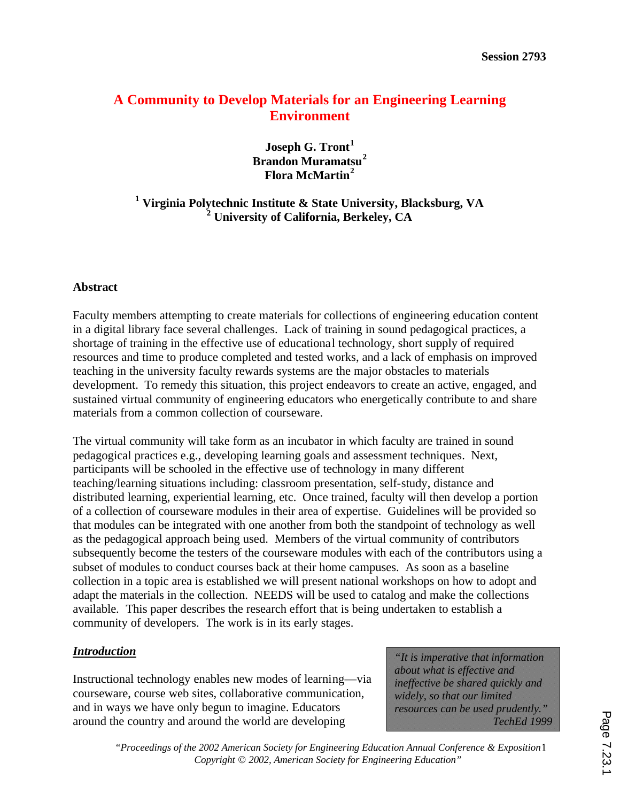# **A Community to Develop Materials for an Engineering Learning Environment**

**Joseph G. Tront<sup>1</sup> Brandon Muramatsu<sup>2</sup> Flora McMartin<sup>2</sup>**

**1 Virginia Polytechnic Institute & State University, Blacksburg, VA 2 University of California, Berkeley, CA**

#### **Abstract**

Faculty members attempting to create materials for collections of engineering education content in a digital library face several challenges. Lack of training in sound pedagogical practices, a shortage of training in the effective use of educational technology, short supply of required resources and time to produce completed and tested works, and a lack of emphasis on improved teaching in the university faculty rewards systems are the major obstacles to materials development. To remedy this situation, this project endeavors to create an active, engaged, and sustained virtual community of engineering educators who energetically contribute to and share materials from a common collection of courseware.

The virtual community will take form as an incubator in which faculty are trained in sound pedagogical practices e.g., developing learning goals and assessment techniques. Next, participants will be schooled in the effective use of technology in many different teaching/learning situations including: classroom presentation, self-study, distance and distributed learning, experiential learning, etc. Once trained, faculty will then develop a portion of a collection of courseware modules in their area of expertise. Guidelines will be provided so that modules can be integrated with one another from both the standpoint of technology as well as the pedagogical approach being used. Members of the virtual community of contributors subsequently become the testers of the courseware modules with each of the contributors using a subset of modules to conduct courses back at their home campuses. As soon as a baseline collection in a topic area is established we will present national workshops on how to adopt and adapt the materials in the collection. NEEDS will be used to catalog and make the collections available. This paper describes the research effort that is being undertaken to establish a community of developers. The work is in its early stages.

### *Introduction*

Instructional technology enables new modes of learning—via courseware, course web sites, collaborative communication, and in ways we have only begun to imagine. Educators around the country and around the world are developing

*"It is imperative that information about what is effective and ineffective be shared quickly and widely, so that our limited resources can be used prudently." TechEd 1999*

"Proceedings of the 2002 American Society for Engineering Education Annual Conference & Exposition1 *Copyright* Ó *2002, American Society for Engineering Education"*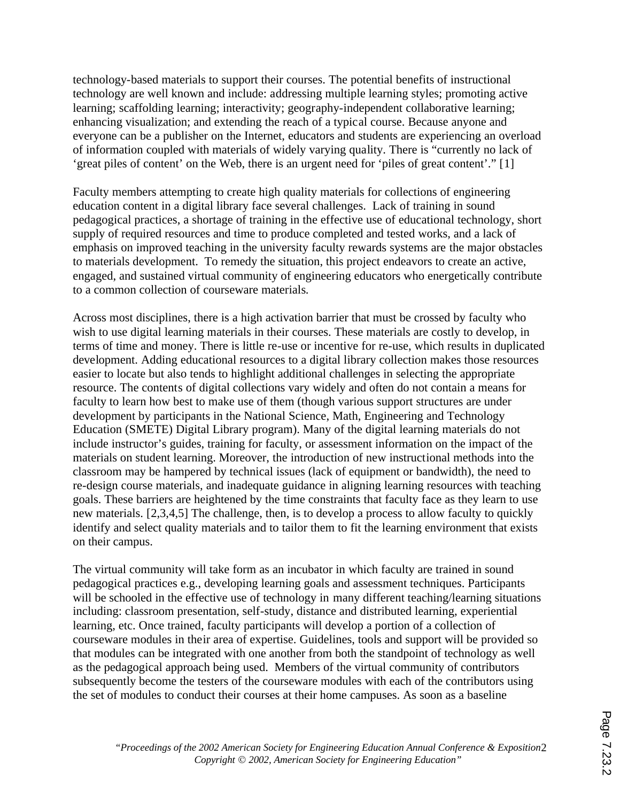technology-based materials to support their courses. The potential benefits of instructional technology are well known and include: addressing multiple learning styles; promoting active learning; scaffolding learning; interactivity; geography-independent collaborative learning; enhancing visualization; and extending the reach of a typical course. Because anyone and everyone can be a publisher on the Internet, educators and students are experiencing an overload of information coupled with materials of widely varying quality. There is "currently no lack of 'great piles of content' on the Web, there is an urgent need for 'piles of great content'." [1]

Faculty members attempting to create high quality materials for collections of engineering education content in a digital library face several challenges. Lack of training in sound pedagogical practices, a shortage of training in the effective use of educational technology, short supply of required resources and time to produce completed and tested works, and a lack of emphasis on improved teaching in the university faculty rewards systems are the major obstacles to materials development. To remedy the situation, this project endeavors to create an active, engaged, and sustained virtual community of engineering educators who energetically contribute to a common collection of courseware materials.

Across most disciplines, there is a high activation barrier that must be crossed by faculty who wish to use digital learning materials in their courses. These materials are costly to develop, in terms of time and money. There is little re-use or incentive for re-use, which results in duplicated development. Adding educational resources to a digital library collection makes those resources easier to locate but also tends to highlight additional challenges in selecting the appropriate resource. The contents of digital collections vary widely and often do not contain a means for faculty to learn how best to make use of them (though various support structures are under development by participants in the National Science, Math, Engineering and Technology Education (SMETE) Digital Library program). Many of the digital learning materials do not include instructor's guides, training for faculty, or assessment information on the impact of the materials on student learning. Moreover, the introduction of new instructional methods into the classroom may be hampered by technical issues (lack of equipment or bandwidth), the need to re-design course materials, and inadequate guidance in aligning learning resources with teaching goals. These barriers are heightened by the time constraints that faculty face as they learn to use new materials. [2,3,4,5] The challenge, then, is to develop a process to allow faculty to quickly identify and select quality materials and to tailor them to fit the learning environment that exists on their campus.

The virtual community will take form as an incubator in which faculty are trained in sound pedagogical practices e.g., developing learning goals and assessment techniques. Participants will be schooled in the effective use of technology in many different teaching/learning situations including: classroom presentation, self-study, distance and distributed learning, experiential learning, etc. Once trained, faculty participants will develop a portion of a collection of courseware modules in their area of expertise. Guidelines, tools and support will be provided so that modules can be integrated with one another from both the standpoint of technology as well as the pedagogical approach being used. Members of the virtual community of contributors subsequently become the testers of the courseware modules with each of the contributors using the set of modules to conduct their courses at their home campuses. As soon as a baseline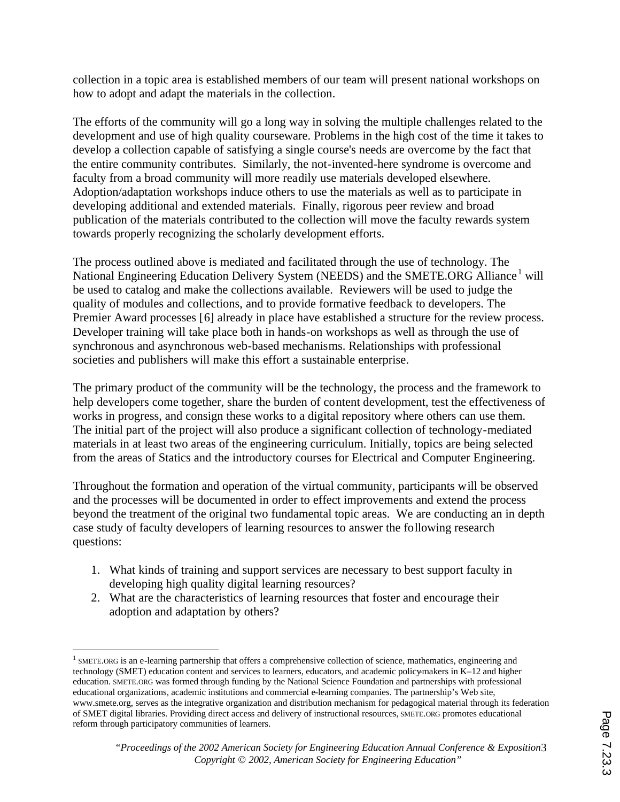collection in a topic area is established members of our team will present national workshops on how to adopt and adapt the materials in the collection.

The efforts of the community will go a long way in solving the multiple challenges related to the development and use of high quality courseware. Problems in the high cost of the time it takes to develop a collection capable of satisfying a single course's needs are overcome by the fact that the entire community contributes. Similarly, the not-invented-here syndrome is overcome and faculty from a broad community will more readily use materials developed elsewhere. Adoption/adaptation workshops induce others to use the materials as well as to participate in developing additional and extended materials. Finally, rigorous peer review and broad publication of the materials contributed to the collection will move the faculty rewards system towards properly recognizing the scholarly development efforts.

The process outlined above is mediated and facilitated through the use of technology. The National Engineering Education Delivery System (NEEDS) and the SMETE.ORG Alliance<sup>1</sup> will be used to catalog and make the collections available. Reviewers will be used to judge the quality of modules and collections, and to provide formative feedback to developers. The Premier Award processes [6] already in place have established a structure for the review process. Developer training will take place both in hands-on workshops as well as through the use of synchronous and asynchronous web-based mechanisms. Relationships with professional societies and publishers will make this effort a sustainable enterprise.

The primary product of the community will be the technology, the process and the framework to help developers come together, share the burden of content development, test the effectiveness of works in progress, and consign these works to a digital repository where others can use them. The initial part of the project will also produce a significant collection of technology-mediated materials in at least two areas of the engineering curriculum. Initially, topics are being selected from the areas of Statics and the introductory courses for Electrical and Computer Engineering.

Throughout the formation and operation of the virtual community, participants will be observed and the processes will be documented in order to effect improvements and extend the process beyond the treatment of the original two fundamental topic areas. We are conducting an in depth case study of faculty developers of learning resources to answer the following research questions:

- 1. What kinds of training and support services are necessary to best support faculty in developing high quality digital learning resources?
- 2. What are the characteristics of learning resources that foster and encourage their adoption and adaptation by others?

 $\overline{a}$ 

<sup>&</sup>lt;sup>1</sup> SMETE.ORG is an e-learning partnership that offers a comprehensive collection of science, mathematics, engineering and technology (SMET) education content and services to learners, educators, and academic policy-makers in K–12 and higher education. SMETE.ORG was formed through funding by the National Science Foundation and partnerships with professional educational organizations, academic institutions and commercial e-learning companies. The partnership's Web site, www.smete.org, serves as the integrative organization and distribution mechanism for pedagogical material through its federation of SMET digital libraries. Providing direct access and delivery of instructional resources, SMETE.ORG promotes educational reform through participatory communities of learners.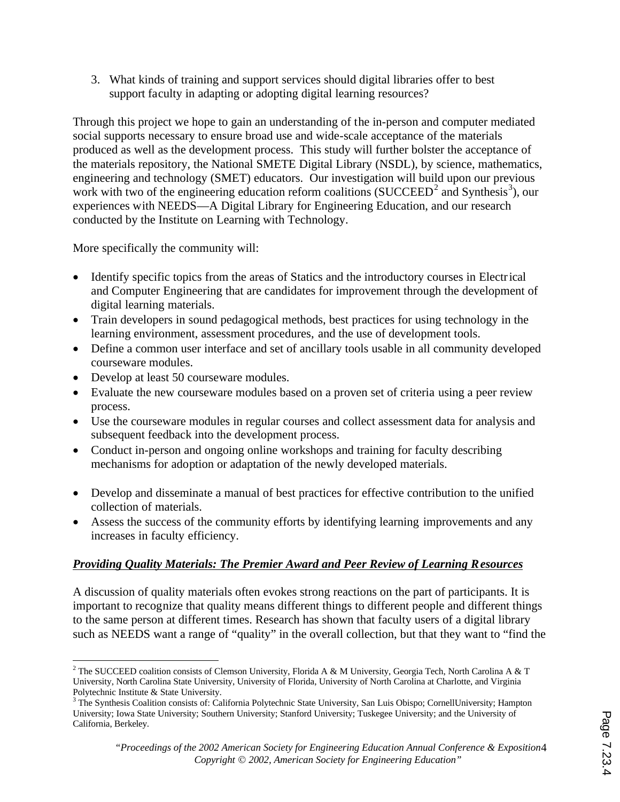3. What kinds of training and support services should digital libraries offer to best support faculty in adapting or adopting digital learning resources?

Through this project we hope to gain an understanding of the in-person and computer mediated social supports necessary to ensure broad use and wide-scale acceptance of the materials produced as well as the development process. This study will further bolster the acceptance of the materials repository, the National SMETE Digital Library (NSDL), by science, mathematics, engineering and technology (SMET) educators. Our investigation will build upon our previous work with two of the engineering education reform coalitions (SUCCEED<sup>2</sup> and Synthesis<sup>3</sup>), our experiences with NEEDS—A Digital Library for Engineering Education, and our research conducted by the Institute on Learning with Technology.

More specifically the community will:

- Identify specific topics from the areas of Statics and the introductory courses in Electrical and Computer Engineering that are candidates for improvement through the development of digital learning materials.
- Train developers in sound pedagogical methods, best practices for using technology in the learning environment, assessment procedures, and the use of development tools.
- Define a common user interface and set of ancillary tools usable in all community developed courseware modules.
- Develop at least 50 courseware modules.
- Evaluate the new courseware modules based on a proven set of criteria using a peer review process.
- · Use the courseware modules in regular courses and collect assessment data for analysis and subsequent feedback into the development process.
- Conduct in-person and ongoing online workshops and training for faculty describing mechanisms for adoption or adaptation of the newly developed materials.
- · Develop and disseminate a manual of best practices for effective contribution to the unified collection of materials.
- Assess the success of the community efforts by identifying learning improvements and any increases in faculty efficiency.

# *Providing Quality Materials: The Premier Award and Peer Review of Learning Resources*

A discussion of quality materials often evokes strong reactions on the part of participants. It is important to recognize that quality means different things to different people and different things to the same person at different times. Research has shown that faculty users of a digital library such as NEEDS want a range of "quality" in the overall collection, but that they want to "find the

 $\overline{a}$ <sup>2</sup> The SUCCEED coalition consists of Clemson University, Florida A & M University, Georgia Tech, North Carolina A & T University, North Carolina State University, University of Florida, University of North Carolina at Charlotte, and Virginia Polytechnic Institute & State University.

<sup>&</sup>lt;sup>3</sup> The Synthesis Coalition consists of: California Polytechnic State University, San Luis Obispo; CornellUniversity; Hampton University; Iowa State University; Southern University; Stanford University; Tuskegee University; and the University of California, Berkeley.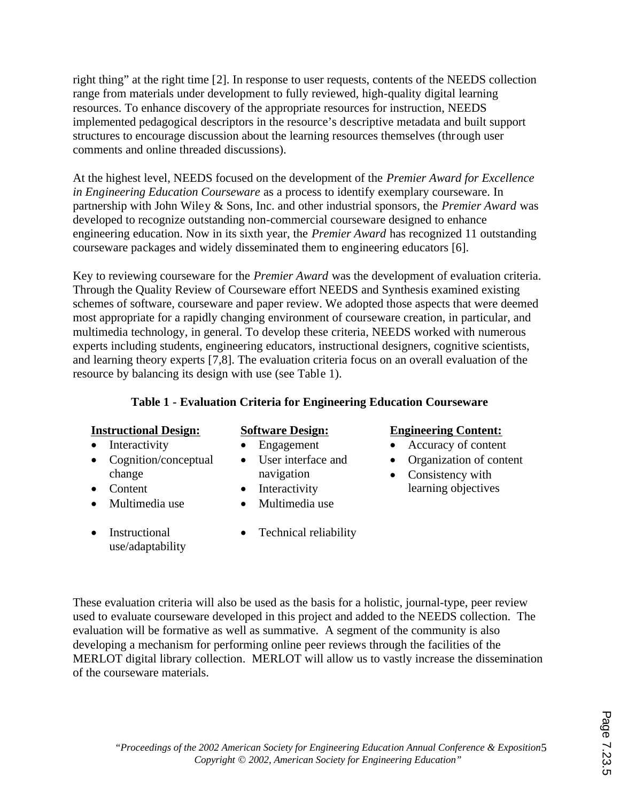right thing" at the right time [2]. In response to user requests, contents of the NEEDS collection range from materials under development to fully reviewed, high-quality digital learning resources. To enhance discovery of the appropriate resources for instruction, NEEDS implemented pedagogical descriptors in the resource's descriptive metadata and built support structures to encourage discussion about the learning resources themselves (through user comments and online threaded discussions).

At the highest level, NEEDS focused on the development of the *Premier Award for Excellence in Engineering Education Courseware* as a process to identify exemplary courseware. In partnership with John Wiley & Sons, Inc. and other industrial sponsors, the *Premier Award* was developed to recognize outstanding non-commercial courseware designed to enhance engineering education. Now in its sixth year, the *Premier Award* has recognized 11 outstanding courseware packages and widely disseminated them to engineering educators [6].

Key to reviewing courseware for the *Premier Award* was the development of evaluation criteria. Through the Quality Review of Courseware effort NEEDS and Synthesis examined existing schemes of software, courseware and paper review. We adopted those aspects that were deemed most appropriate for a rapidly changing environment of courseware creation, in particular, and multimedia technology, in general. To develop these criteria, NEEDS worked with numerous experts including students, engineering educators, instructional designers, cognitive scientists, and learning theory experts [7,8]. The evaluation criteria focus on an overall evaluation of the resource by balancing its design with use (see Table 1).

### **Table 1 - Evaluation Criteria for Engineering Education Courseware**

- Interactivity
- Cognition/conceptual change
- Content
- Multimedia use
- Instructional use/adaptability
- Engagement • User interface and
- navigation • Interactivity
- Multimedia use
- Technical reliability
- **Instructional Design: Software Design: Engineering Content:**
	- · Accuracy of content
	- Organization of content
	- Consistency with learning objectives

These evaluation criteria will also be used as the basis for a holistic, journal-type, peer review used to evaluate courseware developed in this project and added to the NEEDS collection. The evaluation will be formative as well as summative. A segment of the community is also developing a mechanism for performing online peer reviews through the facilities of the MERLOT digital library collection. MERLOT will allow us to vastly increase the dissemination of the courseware materials.

"Proceedings of the 2002 American Society for Engineering Education Annual Conference & Exposition5 *Copyright* Ó *2002, American Society for Engineering Education"*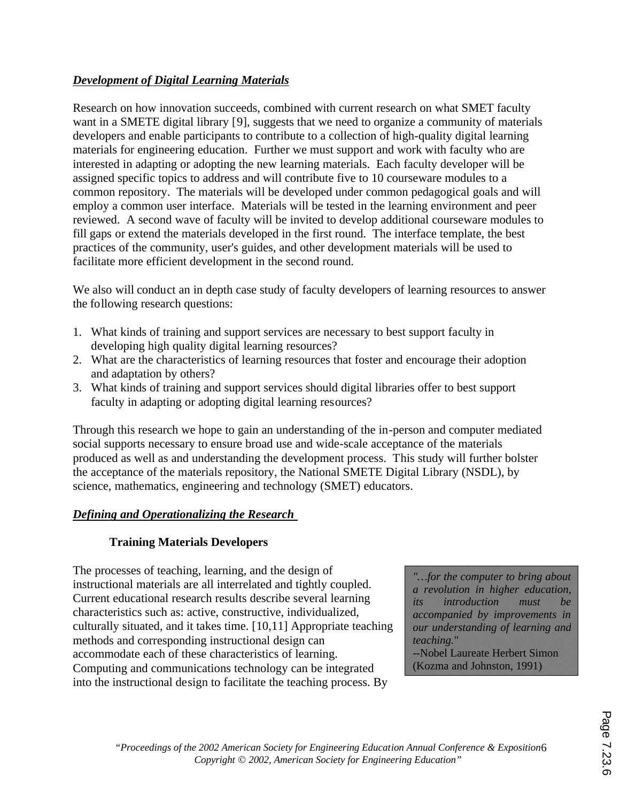# *Development of Digital Learning Materials*

Research on how innovation succeeds, combined with current research on what SMET faculty want in a SMETE digital library [9], suggests that we need to organize a community of materials developers and enable participants to contribute to a collection of high-quality digital learning materials for engineering education. Further we must support and work with faculty who are interested in adapting or adopting the new learning materials. Each faculty developer will be assigned specific topics to address and will contribute five to 10 courseware modules to a common repository. The materials will be developed under common pedagogical goals and will employ a common user interface. Materials will be tested in the learning environment and peer reviewed. A second wave of faculty will be invited to develop additional courseware modules to fill gaps or extend the materials developed in the first round. The interface template, the best practices of the community, user's guides, and other development materials will be used to facilitate more efficient development in the second round.

We also will conduct an in depth case study of faculty developers of learning resources to answer the following research questions:

- 1. What kinds of training and support services are necessary to best support faculty in developing high quality digital learning resources?
- 2. What are the characteristics of learning resources that foster and encourage their adoption and adaptation by others?
- 3. What kinds of training and support services should digital libraries offer to best support faculty in adapting or adopting digital learning resources?

Through this research we hope to gain an understanding of the in-person and computer mediated social supports necessary to ensure broad use and wide-scale acceptance of the materials produced as well as and understanding the development process. This study will further bolster the acceptance of the materials repository, the National SMETE Digital Library (NSDL), by science, mathematics, engineering and technology (SMET) educators.

### *Defining and Operationalizing the Research*

### **Training Materials Developers**

The processes of teaching, learning, and the design of instructional materials are all interrelated and tightly coupled. Current educational research results describe several learning characteristics such as: active, constructive, individualized, culturally situated, and it takes time. [10,11] Appropriate teaching methods and corresponding instructional design can accommodate each of these characteristics of learning. Computing and communications technology can be integrated into the instructional design to facilitate the teaching process. By

*"…for the computer to bring about a revolution in higher education, its introduction must be accompanied by improvements in our understanding of learning and teaching.*" --Nobel Laureate Herbert Simon (Kozma and Johnston, 1991)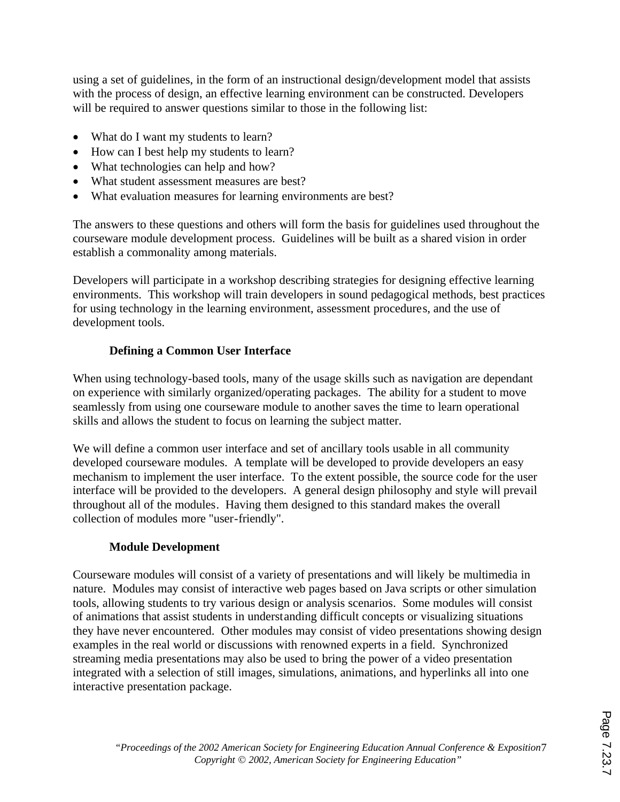using a set of guidelines, in the form of an instructional design/development model that assists with the process of design, an effective learning environment can be constructed. Developers will be required to answer questions similar to those in the following list:

- What do I want my students to learn?
- How can I best help my students to learn?
- What technologies can help and how?
- · What student assessment measures are best?
- What evaluation measures for learning environments are best?

The answers to these questions and others will form the basis for guidelines used throughout the courseware module development process. Guidelines will be built as a shared vision in order establish a commonality among materials.

Developers will participate in a workshop describing strategies for designing effective learning environments. This workshop will train developers in sound pedagogical methods, best practices for using technology in the learning environment, assessment procedures, and the use of development tools.

# **Defining a Common User Interface**

When using technology-based tools, many of the usage skills such as navigation are dependant on experience with similarly organized/operating packages. The ability for a student to move seamlessly from using one courseware module to another saves the time to learn operational skills and allows the student to focus on learning the subject matter.

We will define a common user interface and set of ancillary tools usable in all community developed courseware modules. A template will be developed to provide developers an easy mechanism to implement the user interface. To the extent possible, the source code for the user interface will be provided to the developers. A general design philosophy and style will prevail throughout all of the modules. Having them designed to this standard makes the overall collection of modules more "user-friendly".

### **Module Development**

Courseware modules will consist of a variety of presentations and will likely be multimedia in nature. Modules may consist of interactive web pages based on Java scripts or other simulation tools, allowing students to try various design or analysis scenarios. Some modules will consist of animations that assist students in understanding difficult concepts or visualizing situations they have never encountered. Other modules may consist of video presentations showing design examples in the real world or discussions with renowned experts in a field. Synchronized streaming media presentations may also be used to bring the power of a video presentation integrated with a selection of still images, simulations, animations, and hyperlinks all into one interactive presentation package.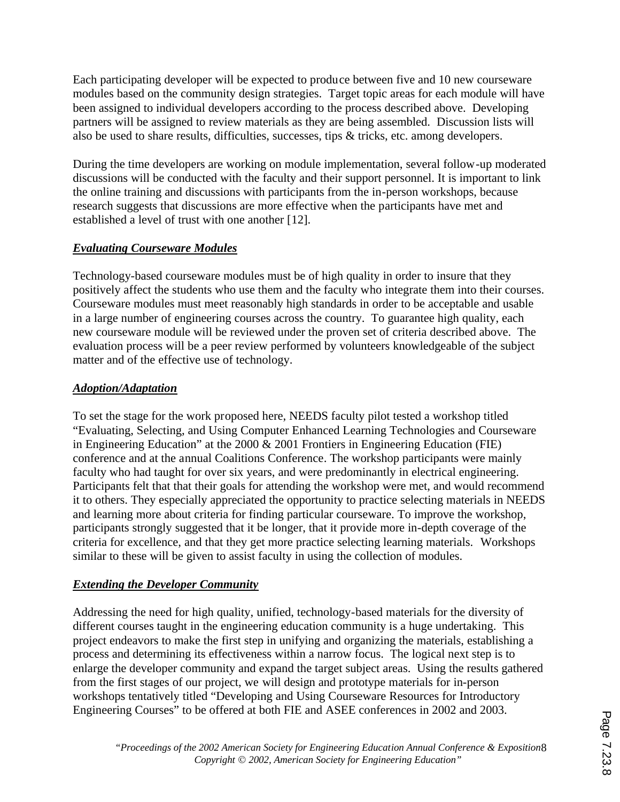Each participating developer will be expected to produce between five and 10 new courseware modules based on the community design strategies. Target topic areas for each module will have been assigned to individual developers according to the process described above. Developing partners will be assigned to review materials as they are being assembled. Discussion lists will also be used to share results, difficulties, successes, tips & tricks, etc. among developers.

During the time developers are working on module implementation, several follow-up moderated discussions will be conducted with the faculty and their support personnel. It is important to link the online training and discussions with participants from the in-person workshops, because research suggests that discussions are more effective when the participants have met and established a level of trust with one another [12].

## *Evaluating Courseware Modules*

Technology-based courseware modules must be of high quality in order to insure that they positively affect the students who use them and the faculty who integrate them into their courses. Courseware modules must meet reasonably high standards in order to be acceptable and usable in a large number of engineering courses across the country. To guarantee high quality, each new courseware module will be reviewed under the proven set of criteria described above. The evaluation process will be a peer review performed by volunteers knowledgeable of the subject matter and of the effective use of technology.

## *Adoption/Adaptation*

To set the stage for the work proposed here, NEEDS faculty pilot tested a workshop titled "Evaluating, Selecting, and Using Computer Enhanced Learning Technologies and Courseware in Engineering Education" at the 2000 & 2001 Frontiers in Engineering Education (FIE) conference and at the annual Coalitions Conference. The workshop participants were mainly faculty who had taught for over six years, and were predominantly in electrical engineering. Participants felt that that their goals for attending the workshop were met, and would recommend it to others. They especially appreciated the opportunity to practice selecting materials in NEEDS and learning more about criteria for finding particular courseware. To improve the workshop, participants strongly suggested that it be longer, that it provide more in-depth coverage of the criteria for excellence, and that they get more practice selecting learning materials. Workshops similar to these will be given to assist faculty in using the collection of modules.

### *Extending the Developer Community*

Addressing the need for high quality, unified, technology-based materials for the diversity of different courses taught in the engineering education community is a huge undertaking. This project endeavors to make the first step in unifying and organizing the materials, establishing a process and determining its effectiveness within a narrow focus. The logical next step is to enlarge the developer community and expand the target subject areas. Using the results gathered from the first stages of our project, we will design and prototype materials for in-person workshops tentatively titled "Developing and Using Courseware Resources for Introductory Engineering Courses" to be offered at both FIE and ASEE conferences in 2002 and 2003.